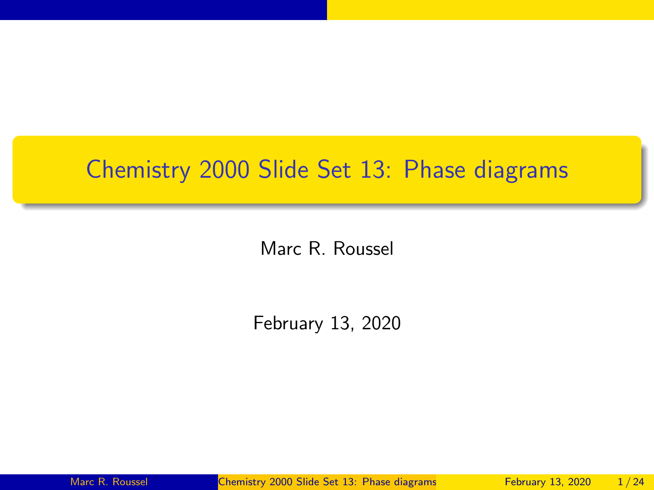# <span id="page-0-0"></span>Chemistry 2000 Slide Set 13: Phase diagrams

Marc R. Roussel

February 13, 2020

Marc R. Roussel **[Chemistry 2000 Slide Set 13: Phase diagrams](#page-23-0)** February 13, 2020 1/24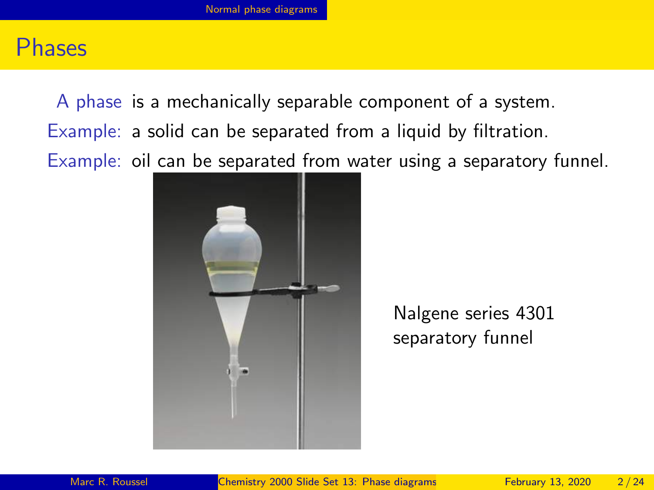#### <span id="page-1-0"></span>Phases

A phase is a mechanically separable component of a system. Example: a solid can be separated from a liquid by filtration. Example: oil can be separated from water using a separatory funnel.



Nalgene series 4301 separatory funnel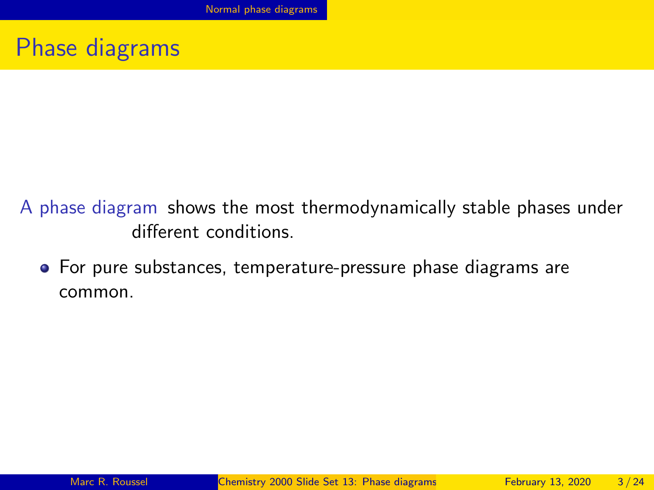#### Phase diagrams

- A phase diagram shows the most thermodynamically stable phases under different conditions.
	- For pure substances, temperature-pressure phase diagrams are common.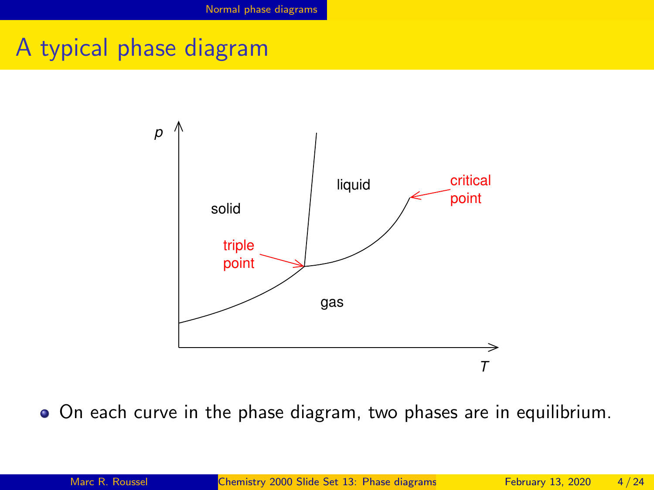# A typical phase diagram



On each curve in the phase diagram, two phases are in equilibrium.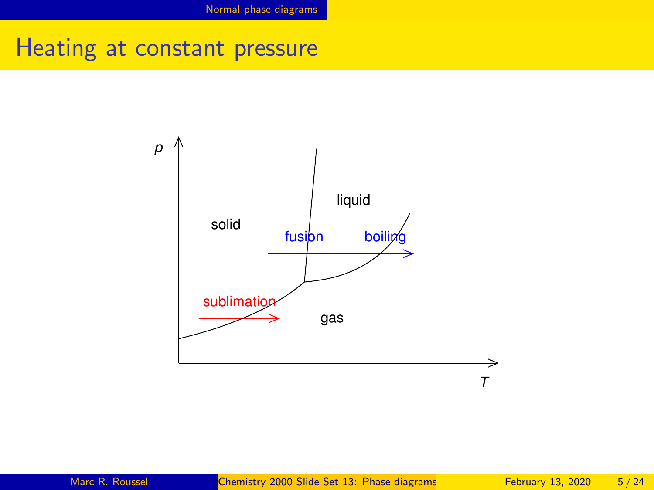Heating at constant pressure

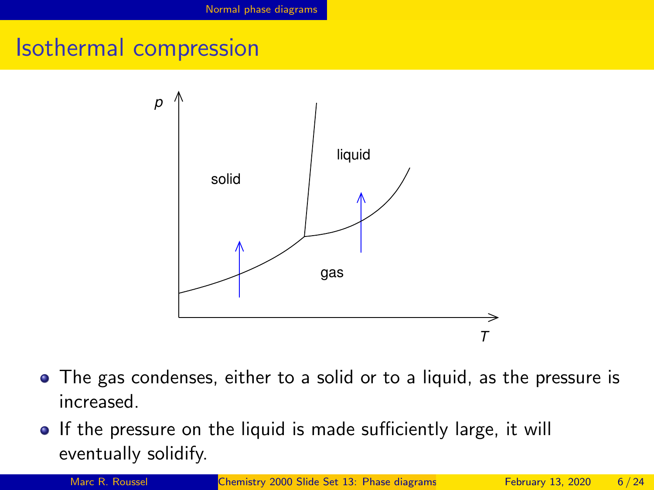### Isothermal compression



- The gas condenses, either to a solid or to a liquid, as the pressure is increased.
- If the pressure on the liquid is made sufficiently large, it will eventually solidify.

Marc R. Roussel **[Chemistry 2000 Slide Set 13: Phase diagrams](#page-0-0)** February 13, 2020 6/24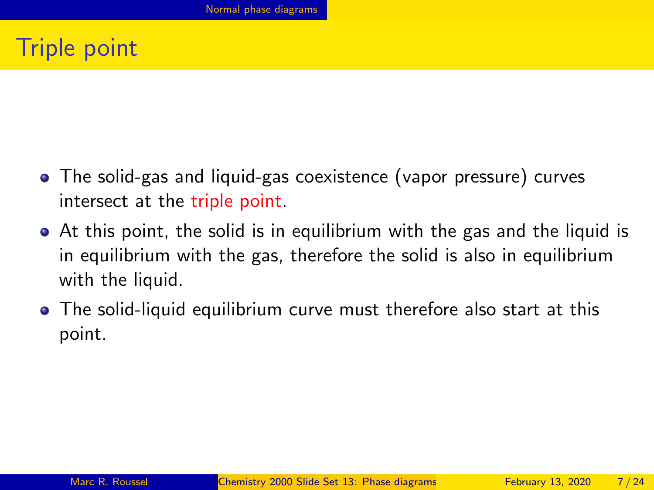# Triple point

- The solid-gas and liquid-gas coexistence (vapor pressure) curves intersect at the triple point.
- At this point, the solid is in equilibrium with the gas and the liquid is in equilibrium with the gas, therefore the solid is also in equilibrium with the liquid.
- The solid-liquid equilibrium curve must therefore also start at this point.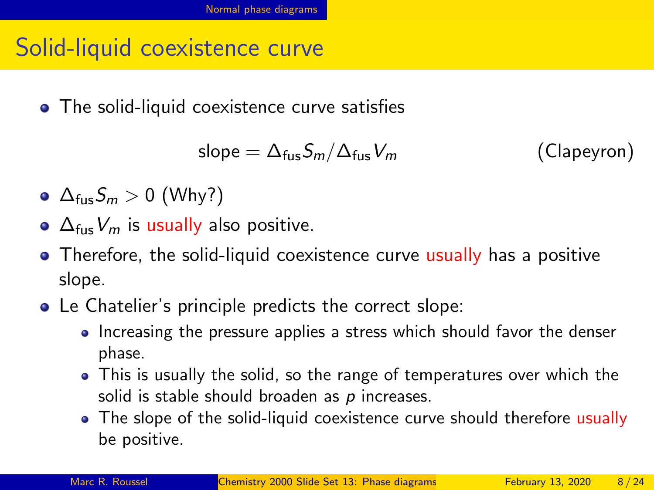## Solid-liquid coexistence curve

• The solid-liquid coexistence curve satisfies

slope =  $\Delta_{fus}S_m/\Delta_{fus}V_m$  (Clapeyron)

- $\Delta_{fus}S_m > 0$  (Why?)
- $\Delta_{fus}V_m$  is usually also positive.
- Therefore, the solid-liquid coexistence curve usually has a positive slope.
- Le Chatelier's principle predicts the correct slope:
	- Increasing the pressure applies a stress which should favor the denser phase.
	- This is usually the solid, so the range of temperatures over which the solid is stable should broaden as  $p$  increases.
	- The slope of the solid-liquid coexistence curve should therefore usually be positive.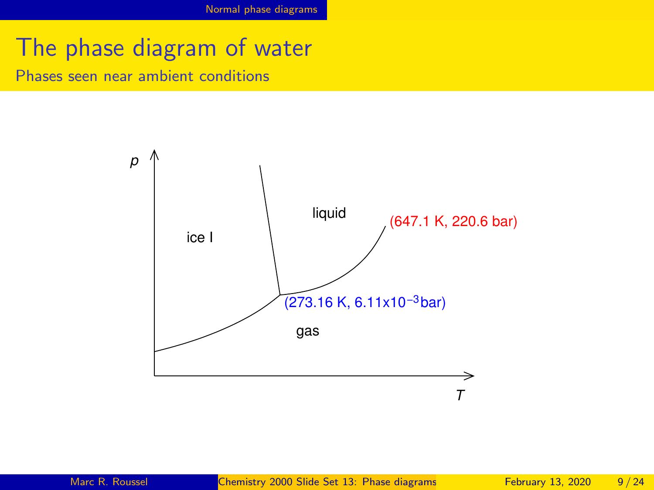[Normal phase diagrams](#page-1-0)

### The phase diagram of water

Phases seen near ambient conditions

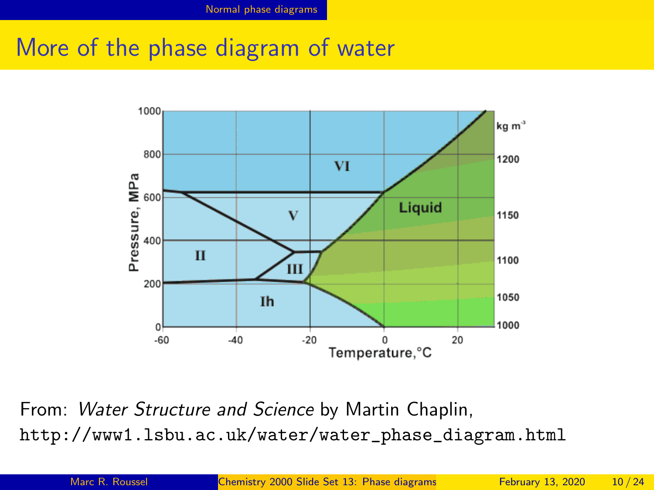### More of the phase diagram of water



From: Water Structure and Science by Martin Chaplin, [http://www1.lsbu.ac.uk/water/water\\_phase\\_diagram.html](http://www1.lsbu.ac.uk/water/water_phase_diagram.html)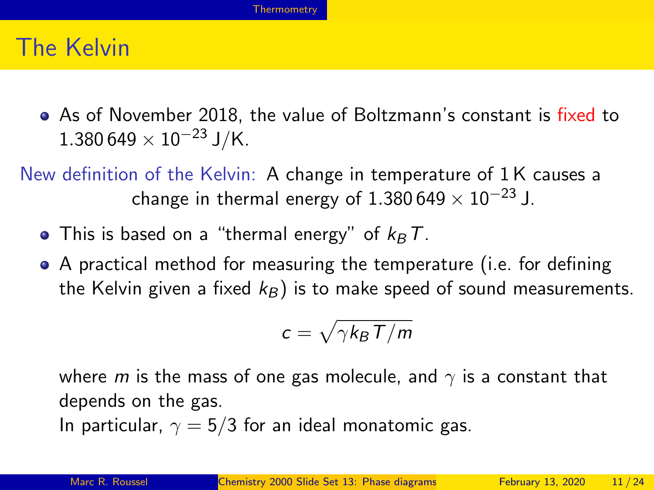### <span id="page-10-0"></span>The Kelvin

• As of November 2018, the value of Boltzmann's constant is fixed to  $1.380\,649\times 10^{-23}\,\text{J/K}.$ 

New definition of the Kelvin: A change in temperature of 1 K causes a change in thermal energy of 1.380 649  $\times$  10<sup>-23</sup> J.

- This is based on a "thermal energy" of  $k_B T$ .
- A practical method for measuring the temperature (i.e. for defining the Kelvin given a fixed  $k_B$ ) is to make speed of sound measurements.

$$
c=\sqrt{\gamma k_B T/m}
$$

where m is the mass of one gas molecule, and  $\gamma$  is a constant that depends on the gas.

In particular,  $\gamma = 5/3$  for an ideal monatomic gas.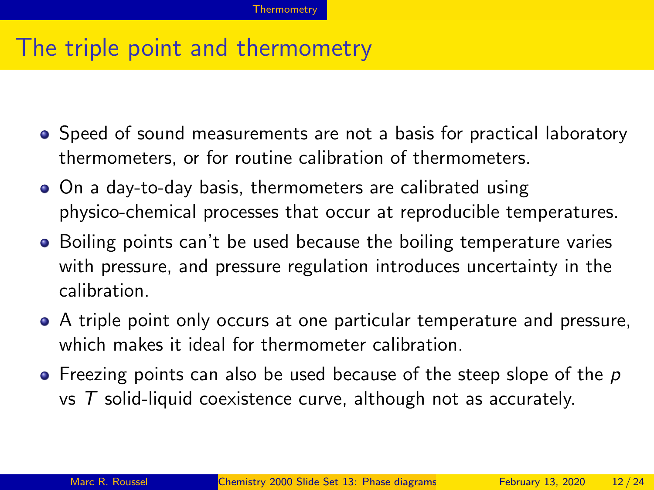### The triple point and thermometry

- Speed of sound measurements are not a basis for practical laboratory thermometers, or for routine calibration of thermometers.
- On a day-to-day basis, thermometers are calibrated using physico-chemical processes that occur at reproducible temperatures.
- Boiling points can't be used because the boiling temperature varies with pressure, and pressure regulation introduces uncertainty in the calibration.
- A triple point only occurs at one particular temperature and pressure, which makes it ideal for thermometer calibration.
- $\bullet$  Freezing points can also be used because of the steep slope of the p vs  $T$  solid-liquid coexistence curve, although not as accurately.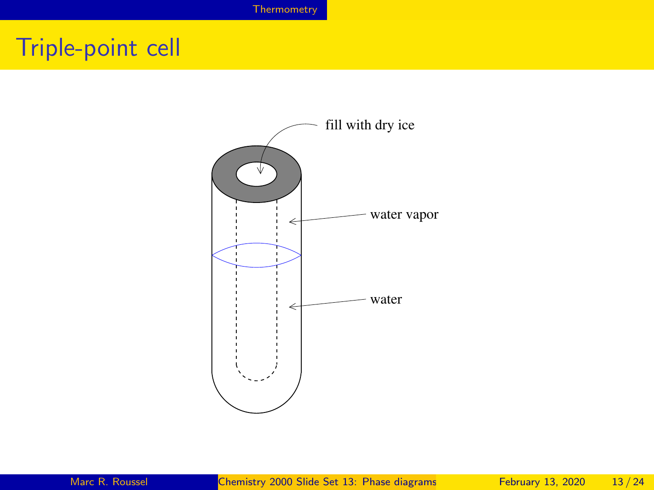# Triple-point cell

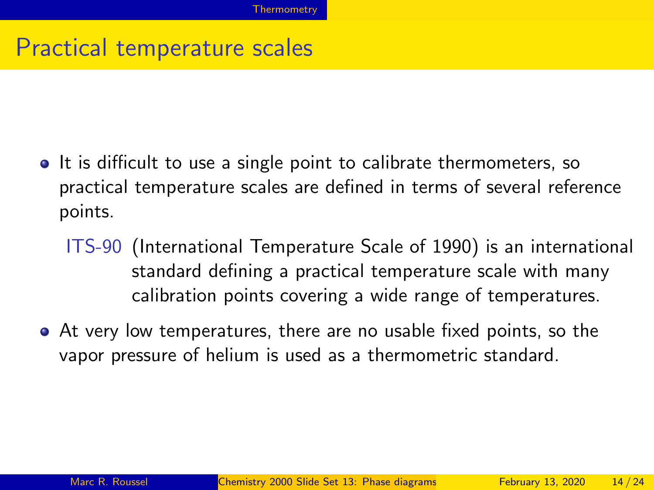## Practical temperature scales

- It is difficult to use a single point to calibrate thermometers, so practical temperature scales are defined in terms of several reference points.
	- ITS-90 (International Temperature Scale of 1990) is an international standard defining a practical temperature scale with many calibration points covering a wide range of temperatures.
- At very low temperatures, there are no usable fixed points, so the vapor pressure of helium is used as a thermometric standard.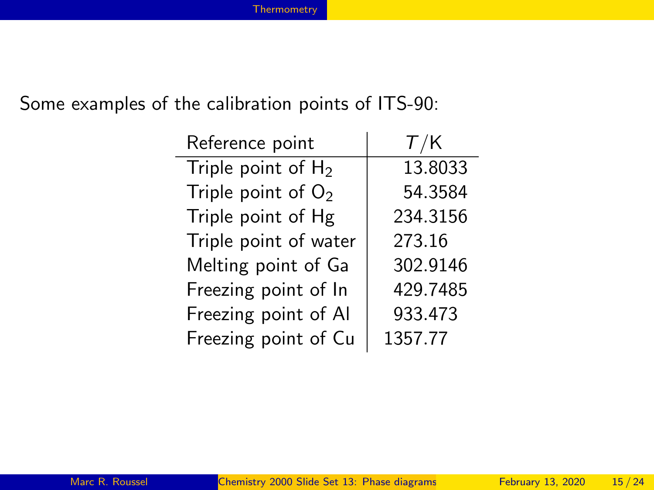#### Some examples of the calibration points of ITS-90:

| Reference point       | T/K      |
|-----------------------|----------|
| Triple point of $H_2$ | 13.8033  |
| Triple point of $O2$  | 54.3584  |
| Triple point of Hg    | 234.3156 |
| Triple point of water | 273.16   |
| Melting point of Ga   | 302.9146 |
| Freezing point of In  | 429.7485 |
| Freezing point of Al  | 933.473  |
| Freezing point of Cu  | 1357.77  |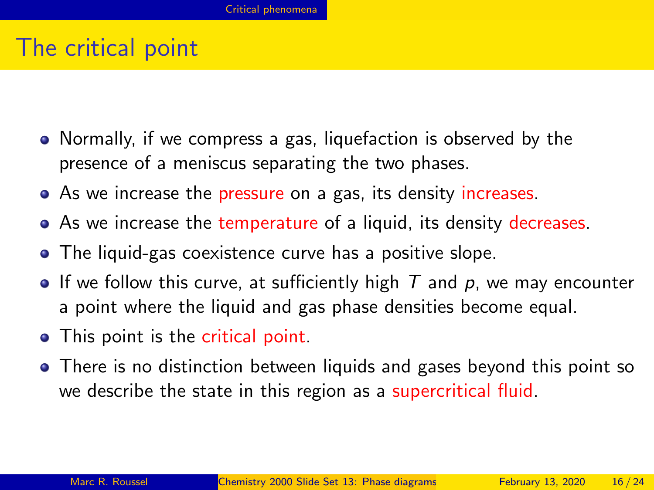#### <span id="page-15-0"></span>The critical point

- Normally, if we compress a gas, liquefaction is observed by the presence of a meniscus separating the two phases.
- As we increase the pressure on a gas, its density increases.
- As we increase the temperature of a liquid, its density decreases.
- The liquid-gas coexistence curve has a positive slope.
- If we follow this curve, at sufficiently high  $T$  and  $p$ , we may encounter a point where the liquid and gas phase densities become equal.
- This point is the critical point.
- There is no distinction between liquids and gases beyond this point so we describe the state in this region as a supercritical fluid.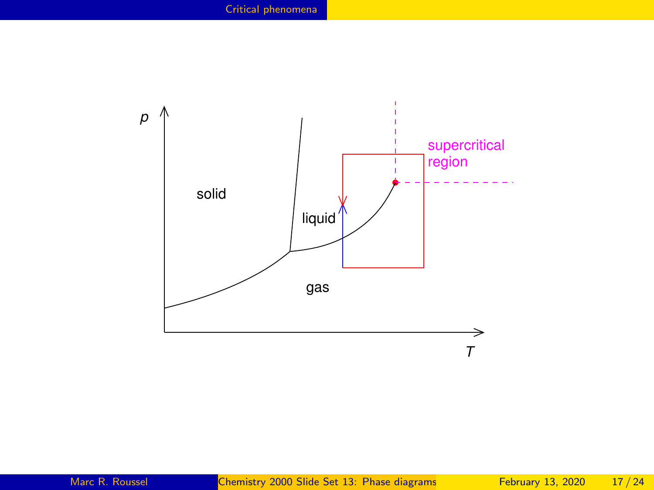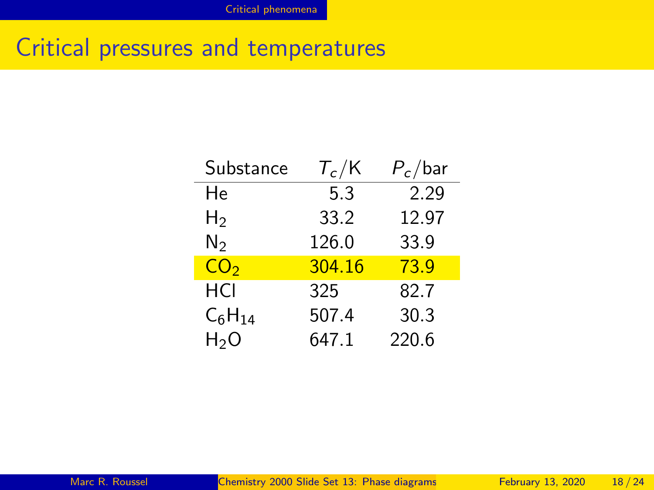## Critical pressures and temperatures

| Substance       | $\tau_{\rm c}$ /K | $P_c$ /bar |
|-----------------|-------------------|------------|
| He              | 5.3               | 2.29       |
| H2              | 33.2              | 12.97      |
| N2              | 126.0             | 33.9       |
| CO <sub>2</sub> | 304.16            | 73.9       |
| HCI             | 325               | 82.7       |
| $C_6H_{14}$     | 507.4             | 30.3       |
| $H_2O$          | 647.1             | 220.6      |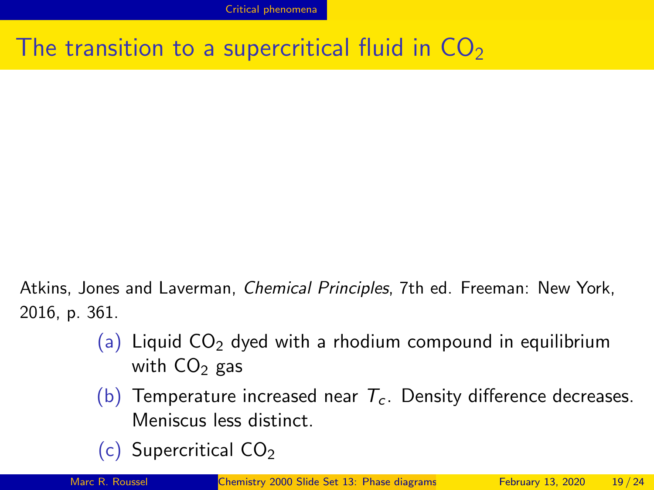## The transition to a supercritical fluid in  $CO<sub>2</sub>$

Atkins, Jones and Laverman, Chemical Principles, 7th ed. Freeman: New York, 2016, p. 361.

- (a) Liquid  $CO<sub>2</sub>$  dyed with a rhodium compound in equilibrium with  $CO<sub>2</sub>$  gas
- (b) Temperature increased near  $T_c$ . Density difference decreases. Meniscus less distinct.
- (c) Supercritical  $CO<sub>2</sub>$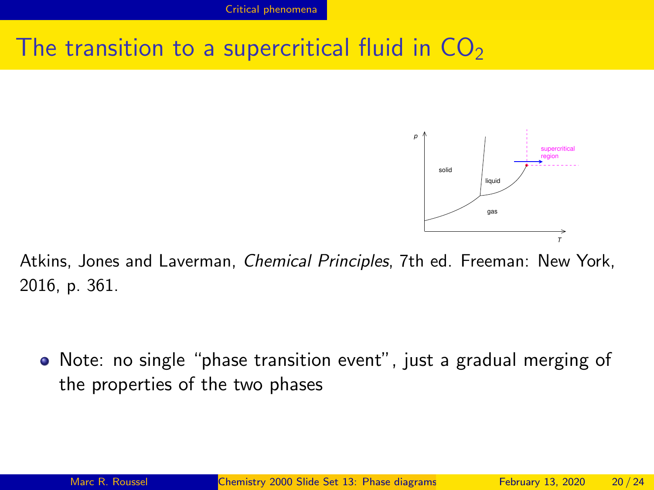## The transition to a supercritical fluid in  $CO<sub>2</sub>$



Atkins, Jones and Laverman, Chemical Principles, 7th ed. Freeman: New York, 2016, p. 361.

Note: no single "phase transition event", just a gradual merging of the properties of the two phases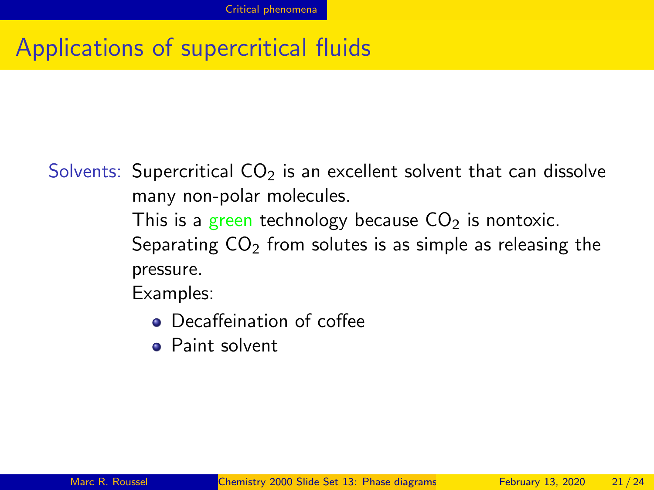Solvents: Supercritical  $CO<sub>2</sub>$  is an excellent solvent that can dissolve many non-polar molecules.

> This is a green technology because  $CO<sub>2</sub>$  is nontoxic. Separating  $CO<sub>2</sub>$  from solutes is as simple as releasing the pressure.

Examples:

- Decaffeination of coffee
- Paint solvent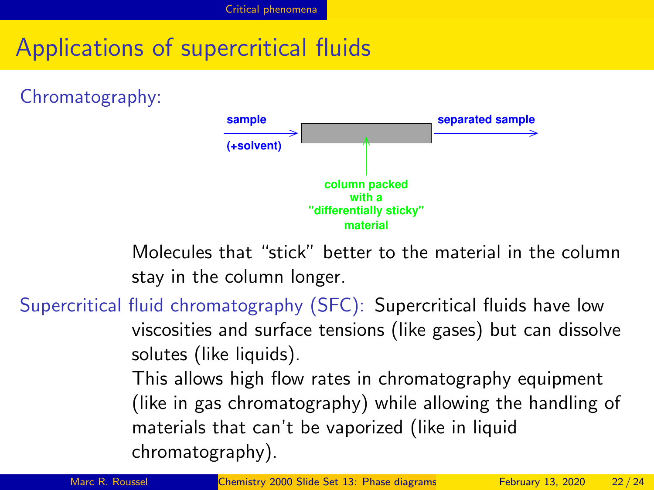Chromatography:



Molecules that "stick" better to the material in the column stay in the column longer.

Supercritical fluid chromatography (SFC): Supercritical fluids have low viscosities and surface tensions (like gases) but can dissolve solutes (like liquids).

> This allows high flow rates in chromatography equipment (like in gas chromatography) while allowing the handling of materials that can't be vaporized (like in liquid chromatography).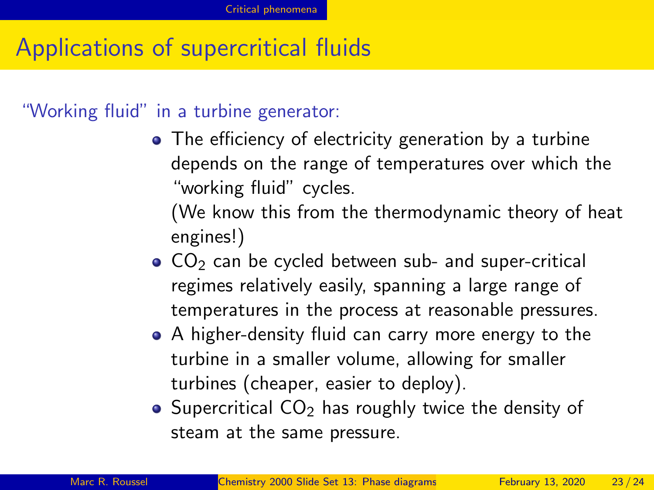"Working fluid" in a turbine generator:

• The efficiency of electricity generation by a turbine depends on the range of temperatures over which the "working fluid" cycles.

(We know this from the thermodynamic theory of heat engines!)

- $\bullet$  CO<sub>2</sub> can be cycled between sub- and super-critical regimes relatively easily, spanning a large range of temperatures in the process at reasonable pressures.
- A higher-density fluid can carry more energy to the turbine in a smaller volume, allowing for smaller turbines (cheaper, easier to deploy).
- Supercritical  $CO<sub>2</sub>$  has roughly twice the density of steam at the same pressure.